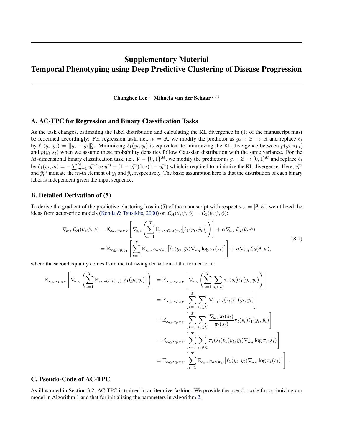# Supplementary Material Temporal Phenotyping using Deep Predictive Clustering of Disease Progression

Changhee Lee<sup>1</sup> Mihaela van der Schaar<sup>231</sup>

### A. AC-TPC for Regression and Binary Classification Tasks

As the task changes, estimating the label distribution and calculating the KL divergence in (1) of the manuscript must be redefined accordingly: For regression task, i.e.,  $\mathcal{Y} = \mathbb{R}$ , we modify the predictor as  $g_{\phi}: \mathcal{Z} \to \mathbb{R}$  and replace  $\ell_1$ by  $\ell_1(y_t, \bar{y}_t) = \|y_t - \bar{y}_t\|_2^2$ . Minimizing  $\ell_1(y_t, \bar{y}_t)$  is equivalent to minimizing the KL divergence between  $p(y_t|\mathbf{x}_{1:t})$ and  $p(y_t|s_t)$  when we assume these probability densities follow Gaussian distribution with the same variance. For the M-dimensional binary classification task, i.e.,  $\mathcal{Y} = \{0, 1\}^M$ , we modify the predictor as  $g_{\phi}: \mathcal{Z} \to [0, 1]^M$  and replace  $\ell_1$ by  $\ell_1(y_t, \bar{y}_t) = -\sum_{m=1}^M y_t^m \log \bar{y}_t^m + (1 - y_t^m) \log(1 - \bar{y}_t^m)$  which is required to minimize the KL divergence. Here,  $y_t^m$  and  $\bar{y}_t^m$  indicate the *m*-th element of  $y_t$  and  $\bar{y}_t$ , respectively. The basic as label is independent given the input sequence.

### B. Detailed Derivation of (5)

To derive the gradient of the predictive clustering loss in (5) of the manuscript with respect  $\omega_A = [\theta, \psi]$ , we utilized the ideas from actor-critic models [\(Konda & Tsitsiklis,](#page-7-0) [2000\)](#page-7-0) on  $\mathcal{L}_A(\theta, \psi, \phi) = \mathcal{L}_1(\theta, \psi, \phi)$ :

$$
\nabla_{\omega_{A}} \mathcal{L}_{A}(\theta, \psi, \phi) = \mathbb{E}_{\mathbf{x}, y \sim p_{XY}} \left[ \nabla_{\omega_{A}} \left( \sum_{t=1}^{T} \mathbb{E}_{s_{t} \sim Cat(\pi_{t})} [\ell_{1}(y_{t}, \bar{y}_{t})] \right) \right] + \alpha \nabla_{\omega_{A}} \mathcal{L}_{2}(\theta, \psi)
$$
\n
$$
= \mathbb{E}_{\mathbf{x}, y \sim p_{XY}} \left[ \sum_{t=1}^{T} \mathbb{E}_{s_{t} \sim Cat(\pi_{t})} [\ell_{1}(y_{t}, \bar{y}_{t}) \nabla_{\omega_{A}} \log \pi_{t}(s_{t})] \right] + \alpha \nabla_{\omega_{A}} \mathcal{L}_{2}(\theta, \psi),
$$
\n(S.1)

where the second equality comes from the following derivation of the former term:

$$
\mathbb{E}_{\mathbf{x},y\sim p_{XY}}\left[\nabla_{\omega_{A}}\left(\sum_{t=1}^{T}\mathbb{E}_{s_{t}\sim Cat(\pi_{t})}\left[\ell_{1}(y_{t},\bar{y}_{t})\right]\right)\right] = \mathbb{E}_{\mathbf{x},y\sim p_{XY}}\left[\nabla_{\omega_{A}}\left(\sum_{t=1}^{T}\sum_{s_{t}\in\mathcal{K}}\pi_{t}(s_{t})\ell_{1}(y_{t},\bar{y}_{t})\right)\right]
$$
\n
$$
= \mathbb{E}_{\mathbf{x},y\sim p_{XY}}\left[\sum_{t=1}^{T}\sum_{s_{t}\in\mathcal{K}}\nabla_{\omega_{A}}\pi_{t}(s_{t})\ell_{1}(y_{t},\bar{y}_{t})\right]
$$
\n
$$
= \mathbb{E}_{\mathbf{x},y\sim p_{XY}}\left[\sum_{t=1}^{T}\sum_{s_{t}\in\mathcal{K}}\frac{\nabla_{\omega_{A}}\pi_{t}(s_{t})}{\pi_{t}(s_{t})}\pi_{t}(s_{t})\ell_{1}(y_{t},\bar{y}_{t})\right]
$$
\n
$$
= \mathbb{E}_{\mathbf{x},y\sim p_{XY}}\left[\sum_{t=1}^{T}\sum_{s_{t}\in\mathcal{K}}\pi_{t}(s_{t})\ell_{1}(y_{t},\bar{y}_{t})\nabla_{\omega_{A}}\log\pi_{t}(s_{t})\right]
$$
\n
$$
= \mathbb{E}_{\mathbf{x},y\sim p_{XY}}\left[\sum_{t=1}^{T}\mathbb{E}_{s_{t}\sim Cat(\pi_{t})}\left[\ell_{1}(y_{t},\bar{y}_{t})\nabla_{\omega_{A}}\log\pi_{t}(s_{t})\right]\right].
$$

### C. Pseudo-Code of AC-TPC

As illustrated in Section 3.2, AC-TPC is trained in an iterative fashion. We provide the pseudo-code for optimizing our model in Algorithm [1](#page-1-0) and that for initializing the parameters in Algorithm [2.](#page-2-0)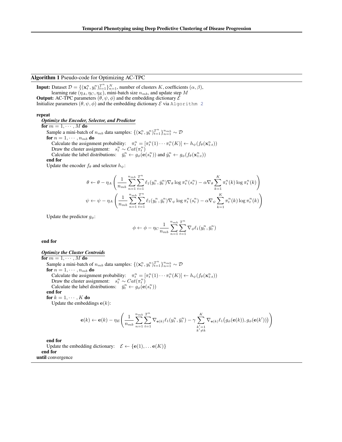#### <span id="page-1-0"></span>Algorithm 1 Pseudo-code for Optimizing AC-TPC

**Input:** Dataset  $\mathcal{D} = \{(\mathbf{x}_t^n, y_t^n)_{t=1}^{T^n}\}_{n=1}^N$ , number of clusters K, coefficients  $(\alpha, \beta)$ , learning rate  $(\eta_A, \eta_C, \eta_E)$ , mini-batch size  $n_{mb}$ , and update step M **Output:** AC-TPC parameters  $(\theta, \psi, \phi)$  and the embedding dictionary  $\mathcal{E}$ Initialize parameters  $(\theta, \psi, \phi)$  and the embedding dictionary  $\mathcal E$  via Algorithm [2](#page-2-0)

#### repeat

*Optimize the Encoder, Selector, and Predictor*

for  $m = 1, \cdots, M$  do

Sample a mini-batch of  $n_{mb}$  data samples:  $\{(\mathbf{x}_t^n, y_t^n)_{t=1}^{T^n}\}_{n=1}^{n_{mb}} \sim \mathcal{D}$ for  $n = 1, \cdots, n_{mb}$  do Calculate the assignment probability:  $\pi_t^n = [\pi_t^n(1) \cdots \pi_t^n(K)] \leftarrow h_{\psi}(f_{\theta}(\mathbf{x}_{1:t}^n))$ Draw the cluster assignment:  $s_t^n \sim Cat(\pi_t^n)$ Calculate the label distributions:  $\bar{y}_t^n \leftarrow g_\phi(\mathbf{e}(s_t^n))$  and  $\hat{y}_t^n \leftarrow g_\phi(f_\theta(\mathbf{x}_{1:t}^n))$ 

end for

Update the encoder  $f_{\theta}$  and selector  $h_{\psi}$ :

$$
\theta \leftarrow \theta - \eta_A \left( \frac{1}{n_{mb}} \sum_{n=1}^{n_{mb}} \sum_{t=1}^{T^n} \ell_1(y_t^n, \bar{y}_t^n) \nabla \theta \log \pi_t^n(s_t^n) - \alpha \nabla \theta \sum_{k=1}^K \pi_t^n(k) \log \pi_t^n(k) \right)
$$
  

$$
\psi \leftarrow \psi - \eta_A \left( \frac{1}{n_{mb}} \sum_{n=1}^{n_{mb}} \sum_{t=1}^{T^n} \ell_1(y_t^n, \bar{y}_t^n) \nabla \psi \log \pi_t^n(s_t^n) - \alpha \nabla \psi \sum_{k=1}^K \pi_t^n(k) \log \pi_t^n(k) \right)
$$

Update the predictor  $g_{\phi}$ :

$$
\phi \leftarrow \phi - \eta_C \frac{1}{n_{mb}} \sum_{n=1}^{n_{mb}} \sum_{t=1}^{T^n} \nabla_{\phi} \ell_1(y_t^n, \bar{y}_t^n)
$$

end for

#### *Optimize the Cluster Centroids*

for  $m = 1, \cdots, M$  do Sample a mini-batch of  $n_{mb}$  data samples:  $\{(\mathbf{x}_t^n, y_t^n)_{t=1}^{T^n}\}_{n=1}^{n_{mb}} \sim \mathcal{D}$ for  $n = 1, \cdots, n_{mb}$  do Calculate the assignment probability:  $\pi_t^n = [\pi_t^n(1) \cdots \pi_t^n(K)] \leftarrow h_{\psi}(f_{\theta}(\mathbf{x}_{1:t}^n))$ Draw the cluster assignment:  $s_t^n \sim Cat(\pi_t^n)$ Calculate the label distributions:  $\overline{y}_t^n \leftarrow g_\phi(\mathbf{e}(s_t^n))$ end for for  $k = 1, \cdots, K$  do

Update the embeddings  $e(k)$ :

$$
\mathbf{e}(k) \leftarrow \mathbf{e}(k) - \eta_E \Bigg(\frac{1}{n_{mb}}\sum_{n=1}^{n_{mb}}\sum_{t=1}^{T^n}\nabla_{\mathbf{e}(k)}\ell_1(y_t^n,\bar{y}_t^n) - \gamma\sum_{\substack{k'=1\\k'\neq k}}^{K}\nabla_{\mathbf{e}(k)}\ell_1\big(g_{\phi}(\mathbf{e}(k)),g_{\phi}(\mathbf{e}(k'))\big)\Bigg)
$$

end for

Update the embedding dictionary:  $\mathcal{E} \leftarrow {\bf \{e}}(1), \dots {\bf e}(K) \}$ end for until convergence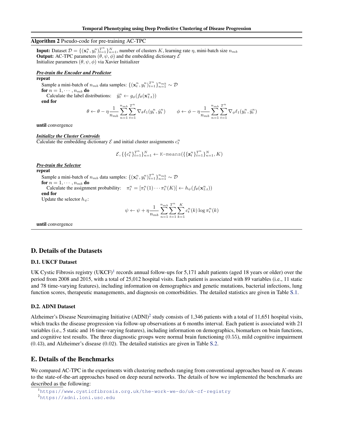### <span id="page-2-0"></span>Algorithm 2 Pseudo-code for pre-training AC-TPC

**Input:** Dataset  $\mathcal{D} = \{(\mathbf{x}_t^n, y_t^n)_{t=1}^{T^n}\}_{n=1}^N$ , number of clusters K, learning rate  $\eta$ , mini-batch size  $n_{mb}$ **Output:** AC-TPC parameters  $(\theta, \psi, \phi)$  and the embedding dictionary  $\mathcal{E}$ Initialize parameters (θ, ψ, φ) via Xavier Initializer

#### *Pre-train the Encoder and Predictor*

#### repeat

Sample a mini-batch of  $n_{mb}$  data samples:  $\{(\mathbf{x}_t^n, y_t^n)_{t=1}^{T^n}\}_{n=1}^{n_{mb}} \sim \mathcal{D}$ for  $n = 1, \dots, n_{mb}$  do

Calculate the label distributions:  $\hat{y}_t^n \leftarrow g_\phi(f_\theta(\mathbf{x}_{1:t}^n))$ 

end for

$$
\theta \leftarrow \theta - \eta \frac{1}{n_{mb}} \sum_{n=1}^{n_{mb}} \sum_{t=1}^{T^n} \nabla_{\theta} \ell_1(y_t^n, \hat{y}_t^n) \qquad \phi \leftarrow \phi - \eta \frac{1}{n_{mb}} \sum_{n=1}^{n_{mb}} \sum_{t=1}^{T^n} \nabla_{\phi} \ell_1(y_t^n, \hat{y}_t^n)
$$

until convergence

#### *Initialize the Cluster Centroids*

Calculate the embedding dictionary  $\mathcal E$  and initial cluster assignments  $c_t^n$ 

$$
\mathcal{E}, \{\{c_t^n\}_{t=1}^{T^n}\}_{n=1}^N \leftarrow \text{K-means}(\{\{\mathbf{z}_t^n\}_{t=1}^{T^n}\}_{n=1}^N, K)
$$

#### *Pre-train the Selector*

repeat Sample a mini-batch of  $n_{mb}$  data samples:  $\{(\mathbf{x}_t^n, y_t^n)_{t=1}^{T^n}\}_{n=1}^{n_{mb}} \sim \mathcal{D}$ 

for  $n = 1, \cdots, n_{mb}$  do Calculate the assignment probability:  $\pi_t^n = [\pi_t^n(1) \cdots \pi_t^n(K)] \leftarrow h_{\psi}(f_{\theta}(\mathbf{x}_{1:t}^n))$ 

end for

Update the selector  $h_{\psi}$ :

$$
\psi \leftarrow \psi + \eta \frac{1}{n_{mb}} \sum_{n=1}^{n_{mb}} \sum_{t=1}^{T^n} \sum_{k=1}^K c_t^n(k) \log \pi_t^n(k)
$$

until convergence

#### D. Details of the Datasets

### D.1. UKCF Dataset

UK Cystic Fibrosis registry (UKCF)<sup>1</sup> records annual follow-ups for 5,171 adult patients (aged 18 years or older) over the period from 2008 and 2015, with a total of 25,012 hospital visits. Each patient is associated with 89 variables (i.e., 11 static and 78 time-varying features), including information on demographics and genetic mutations, bacterial infections, lung function scores, therapeutic managements, and diagnosis on comorbidities. The detailed statistics are given in Table [S.1.](#page-3-0)

#### D.2. ADNI Dataset

Alzheimer's Disease Neuroimaging Initiative  $(ADNI)^2$  study consists of 1,346 patients with a total of 11,651 hospital visits, which tracks the disease progression via follow-up observations at 6 months interval. Each patient is associated with 21 variables (i.e., 5 static and 16 time-varying features), including information on demographics, biomarkers on brain functions, and cognitive test results. The three diagnostic groups were normal brain functioning (0.55), mild cognitive impairment (0.43), and Alzheimer's disease (0.02). The detailed statistics are given in Table [S.2.](#page-3-0)

### E. Details of the Benchmarks

We compared AC-TPC in the experiments with clustering methods ranging from conventional approaches based on  $K$ -means to the state-of-the-art approaches based on deep neural networks. The details of how we implemented the benchmarks are described as the following:

<sup>1</sup><https://www.cysticfibrosis.org.uk/the-work-we-do/uk-cf-registry> <sup>2</sup><https://adni.loni.usc.edu>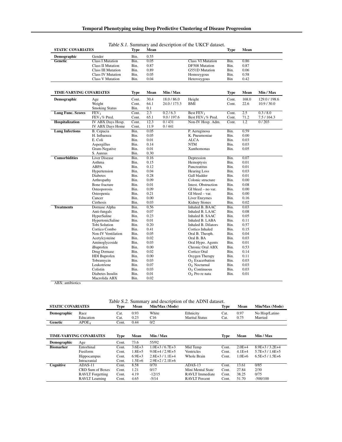| <b>STATIC COVARIATES</b>       |                                   | <b>Type</b>  | Mean             |              |                          | <b>Type</b> | Mean             |               |
|--------------------------------|-----------------------------------|--------------|------------------|--------------|--------------------------|-------------|------------------|---------------|
| Demographic                    | Gender                            | Bin.         | 0.55             |              |                          |             |                  |               |
| Genetic                        | <b>Class I Mutation</b>           | Bin.         | 0.05             |              | <b>Class VI Mutation</b> | Bin.        | 0.86             |               |
|                                | <b>Class II Mutation</b>          | Bin.         | 0.87             |              | DF508 Mutation           | Bin.        | 0.87             |               |
|                                | <b>Class III Mutation</b>         | Bin.         | 0.89             |              | G551D Mutation           | Bin.        | 0.06             |               |
|                                | <b>Class IV Mutation</b>          | Bin.         | 0.05             |              | Homozygous               | Bin.        | 0.58             |               |
|                                | <b>Class V Mutation</b>           | Bin.         | 0.04             |              | Heterozygous             | Bin         | 0.42             |               |
|                                |                                   |              |                  |              |                          |             |                  |               |
|                                |                                   |              |                  |              |                          |             |                  |               |
| <b>TIME-VARYING COVARIATES</b> |                                   | <b>Type</b>  | Mean             | Min / Max    |                          | Type        | Mean             | Min / Max     |
| Demographic                    | Age                               | Cont.        | 30.4             | 18.0 / 86.0  | Height                   | Cont.       | 168.0            | 129.0 / 198.6 |
|                                | Weight                            | Cont.        | 64.1             | 24.0 / 173.3 | BMI                      | Cont.       | 22.6             | 10.9 / 30.0   |
|                                | <b>Smoking Status</b>             | Bin.         | 0.1              |              |                          |             |                  |               |
| <b>Lung Func. Scores</b>       | $\overline{\mathrm{FEV}}_1$       | Cont.        | $\overline{2.3}$ | 0.2 / 6.3    | Best FEV <sub>1</sub>    | Cont.       | $\overline{2.5}$ | 0.3/8.0       |
|                                | $FEV1$ % Pred.                    | Cont.        | 65.1             | 9.0 / 197.6  | Best $FEV_1\%$ Pred.     | Cont.       | 71.2             | 7.5 / 164.3   |
| Hospitalization                | IV ABX Days Hosp.                 | Cont.        | 12.3             | 0/431        | Non-IV Hosp. Adm.        | Cont.       | 1.2              | 0/203         |
|                                | IV ABX Days Home                  | Cont.        | 11.9             | 0/441        |                          |             |                  |               |
| <b>Lung Infections</b>         | B. Cepacia                        | Bin.         | 0.05             |              | P. Aeruginosa            | Bin.        | 0.59             |               |
|                                | H. Influenza                      | Bin.         | 0.05             |              | K. Pneumoniae            | Bin.        | 0.00             |               |
|                                | E. Coli                           | Bin.         | 0.01             |              | <b>ALCA</b>              | Bin.        | 0.03             |               |
|                                | Aspergillus                       | Bin.         | 0.14             |              | NTM                      | Bin.        | 0.03             |               |
|                                | Gram-Negative                     | Bin.         | 0.01             |              | Xanthomonas              | Bin.        | 0.05             |               |
| <b>Comorbidities</b>           | S. Aureus<br><b>Liver Disease</b> | Bin.<br>Bin. | 0.30<br>0.16     |              |                          | Bin.        | 0.07             |               |
|                                | Asthma                            | Bin.         | 0.15             |              | Depression<br>Hemoptysis | Bin.        | 0.01             |               |
|                                | <b>ABPA</b>                       | Bin.         | 0.12             |              | Pancreatitus             | Bin.        | 0.01             |               |
|                                | Hypertension                      | Bin.         | 0.04             |              | <b>Hearing Loss</b>      | Bin.        | 0.03             |               |
|                                | Diabetes                          | Bin.         | 0.28             |              | Gall bladder             | Bin.        | 0.01             |               |
|                                | Arthropathy                       | Bin.         | 0.09             |              | Colonic structure        | Bin.        | 0.00             |               |
|                                | Bone fracture                     | Bin.         | 0.01             |              | Intest. Obstruction      | Bin.        | 0.08             |               |
|                                | Osteoporosis                      | Bin.         | 0.09             |              | $GI$ bleed $-$ no var.   | Bin.        | 0.00             |               |
|                                | Osteopenia                        | Bin.         | 0.21             |              | GI bleed - var.          | Bin.        | 0.00             |               |
|                                | Cancer                            | Bin.         | 0.00             |              | Liver Enzymes            | Bin.        | 0.16             |               |
|                                | Cirrhosis                         | Bin.         | 0.03             |              | Kidney Stones            | Bin.        | 0.02             |               |
| <b>Treatments</b>              | Dornase Alpha                     | Bin.         | 0.56             |              | Inhaled B. BAAC          | Bin.        | 0.03             |               |
|                                | Anti-fungals                      | Bin.         | 0.07             |              | Inhaled B. LAAC          | Bin.        | 0.08             |               |
|                                | HyperSaline                       | Bin.         | 0.23             |              | Inhaled B. SAAC          | Bin.        | 0.05             |               |
|                                | <b>HypertonicSaline</b>           | Bin.         | 0.01             |              | Inhaled B. LABA          | Bin.        | 0.11             |               |
|                                | <b>Tobi Solution</b>              | Bin.         | 0.20             |              | Inhaled B. Dilators      | Bin.        | 0.57             |               |
|                                | Cortico Combo                     | Bin.         | 0.41             |              | Cortico Inhaled          | Bin.        | 0.15             |               |
|                                | Non-IV Ventilation                | Bin.         | 0.05             |              | Oral B. Theoph.          | Bin.        | 0.04             |               |
|                                | Acetylcysteine                    | Bin.         | 0.02             |              | Oral B. BA               | Bin.        | 0.03             |               |
|                                | Aminoglycoside                    | Bin.         | 0.03             |              | Oral Hypo. Agents        | Bin.        | 0.01             |               |
|                                | iBuprofen                         | Bin.         | 0.00             |              | Chronic Oral ABX         | Bin.        | 0.53             |               |
|                                | Drug Dornase                      | Bin.         | 0.02             |              | Cortico Oral             | Bin.        | 0.14             |               |
|                                | <b>HDI</b> Buprofen               | Bin.         | 0.00             |              | Oxygen Therapy           | Bin.        | 0.11             |               |
|                                | Tobramycin                        | Bin.         | 0.03             |              | $O2$ Exacerbation        | Bin.        | 0.03             |               |
|                                | Leukotriene                       | Bin.         | 0.07             |              | $O2$ Nocturnal           | Bin.        | 0.03             |               |
|                                | Colistin                          | Bin.         | 0.03             |              | $O2$ Continuous          | Bin.        | 0.03             |               |
|                                | Diabetes Insulin                  | Bin.         | 0.01             |              | $O2$ Pro re nata         | Bin.        | 0.01             |               |
|                                | Macrolida ABX                     | Bin.         | 0.02             |              |                          |             |                  |               |

<span id="page-3-0"></span>

Table S.1. Summary and description of the UKCF dataset.

ABX: antibiotics

Table S.2. Summary and description of the ADNI dataset.

| <b>STATIC COVARIATES</b>       |                         | Type         | Mean         | Min/Max (Mode)  |                                    | Type         | Mean         | Min/Max (Mode)            |
|--------------------------------|-------------------------|--------------|--------------|-----------------|------------------------------------|--------------|--------------|---------------------------|
| <b>Demographic</b>             | Race<br>Education       | Cat.<br>Cat. | 0.93<br>0.23 | White<br>C16    | Ethnicity<br><b>Marital Status</b> | Cat.<br>Cat. | 0.97<br>0.75 | No Hisp/Latino<br>Married |
| Genetic                        | APOE <sub>4</sub>       | Cont.        | 0.44         | 0/2             |                                    |              |              |                           |
|                                |                         |              |              |                 |                                    |              |              |                           |
| <b>TIME-VARYING COVARIATES</b> |                         | Type         | Mean         | Min / Max       |                                    | <b>Type</b>  | Mean         | Min / Max                 |
| Demographic                    | Age                     | Cont.        | 73.6         | 55/92           |                                    |              |              |                           |
| <b>Biomarker</b>               | Entorhinal              | Cont.        | $3.6E + 3$   | $1.0E+3/6.7E+3$ | Mid Temp                           | Cont.        | $2.0E + 4$   | $8.9E+3/3.2E+4$           |
|                                | Fusiform                | Cont.        | $1.8E + 5$   | $9.0E+4/2.9E+5$ | <b>Ventricles</b>                  | Cont.        | $4.1E + 4$   | $5.7E+3/1.6E+5$           |
|                                | <b>Hippocampus</b>      | Cont.        | $6.9E + 3$   | $2.8E+3/1.1E+4$ | Whole Brain                        | Cont.        | $1.0E + 6$   | $6.5E+5/1.5E+6$           |
|                                | Intracranial            | Cont.        | $1.5E + 6$   | $2.9E+2/2.1E+6$ |                                    |              |              |                           |
| Cognitive                      | $ADAS-11$               | Cont.        | 8.58         | 0/70            | $ADAS-13$                          | Cont.        | 13.61        | 0/85                      |
|                                | CRD Sum of Boxes        | Cont.        | 1.21         | 0/17            | Mini Mental State                  | Cont.        | 27.84        | 2/30                      |
|                                | <b>RAVLT</b> Forgetting | Cont.        | 4.19         | $-12/15$        | RAVLT Immediate                    | Cont.        | 38.25        | 0/75                      |
|                                | <b>RAVLT</b> Learning   | Cont.        | 4.65         | $-5/14$         | <b>RAVLT</b> Percent               | Cont.        | 51.70        | $-500/100$                |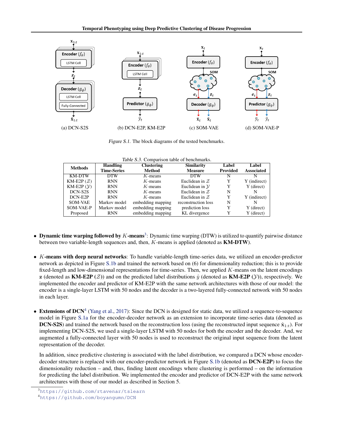<span id="page-4-0"></span>

Figure S.1. The block diagrams of the tested benchmarks.

|  | Table S.3. Comparison table of benchmarks. |
|--|--------------------------------------------|
|  |                                            |

| <b>Methods</b>         | Handling           | <b>Clustering</b> | <b>Similarity</b>         | Label           | Label             |
|------------------------|--------------------|-------------------|---------------------------|-----------------|-------------------|
|                        | <b>Time-Series</b> | <b>Method</b>     | <b>Measure</b>            | <b>Provided</b> | <b>Associated</b> |
| <b>KM-DTW</b>          | <b>DTW</b>         | $K$ -means        | <b>DTW</b>                | N               | N                 |
| KM-E2P $(\mathcal{Z})$ | <b>RNN</b>         | $K$ -means        | Euclidean in $Z$          | Y               | Y (indirect)      |
| $KM-E2P(\mathcal{Y})$  | <b>RNN</b>         | $K$ -means        | Euclidean in $\mathcal Y$ | Y               | Y (direct)        |
| DCN-S2S                | <b>RNN</b>         | $K$ -means        | Euclidean in $Z$          | N               | N                 |
| DCN-E2P                | <b>RNN</b>         | $K$ -means        | Euclidean in $Z$          | Y               | Y (indirect)      |
| SOM-VAE                | Markov model       | embedding mapping | reconstruction loss       | N               | N                 |
| SOM-VAE-P              | Markov model       | embedding mapping | prediction loss           | Y               | Y (direct)        |
| Proposed               | <b>RNN</b>         | embedding mapping | KL divergence             | Y               | Y (direct)        |

- Dynamic time warping followed by  $K$ -means<sup>3</sup>: Dynamic time warping (DTW) is utilized to quantify pairwise distance between two variable-length sequences and, then, K-means is applied (denoted as KM-DTW).
- $\bullet$  K-means with deep neural networks: To handle variable-length time-series data, we utilized an encoder-predictor network as depicted in Figure S.1b and trained the network based on (6) for dimensionality reduction; this is to provide fixed-length and low-dimensional representations for time-series. Then, we applied K-means on the latent encodings z (denoted as KM-E2P ( $Z$ )) and on the predicted label distributions  $\hat{y}$  (denoted as KM-E2P ( $Y$ )), respectively. We implemented the encoder and predictor of KM-E2P with the same network architectures with those of our model: the encoder is a single-layer LSTM with 50 nodes and the decoder is a two-layered fully-connected network with 50 nodes in each layer.
- Extensions of DCN<sup>4</sup> [\(Yang et al.,](#page-7-0) [2017\)](#page-7-0): Since the DCN is designed for static data, we utilized a sequence-to-sequence model in Figure S.1a for the encoder-decoder network as an extension to incorporate time-series data (denoted as **DCN-S2S**) and trained the network based on the reconstruction loss (using the reconstructed input sequence  $\hat{\mathbf{x}}_{1:t}$ ). For implementing DCN-S2S, we used a single-layer LSTM with 50 nodes for both the encoder and the decoder. And, we augmented a fully-connected layer with 50 nodes is used to reconstruct the original input sequence from the latent representation of the decoder.

In addition, since predictive clustering is associated with the label distribution, we compared a DCN whose encoderdecoder structure is replaced with our encoder-predictor network in Figure S.1b (denoted as DCN-E2P) to focus the dimensionality reduction – and, thus, finding latent encodings where clustering is performed – on the information for predicting the label distribution. We implemented the encoder and predictor of DCN-E2P with the same network architectures with those of our model as described in Section 5.

<sup>3</sup><https://github.com/rtavenar/tslearn>

<sup>4</sup><https://github.com/boyangumn/DCN>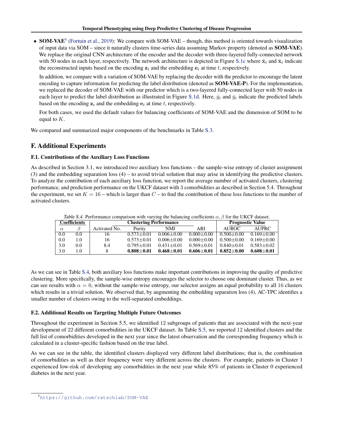• SOM-VAE<sup>5</sup> [\(Fortuin et al.,](#page-7-0) [2019\)](#page-7-0): We compare with SOM-VAE – though, this method is oriented towards visualization of input data via SOM – since it naturally clusters time-series data assuming Markov property (denoted as SOM-VAE). We replace the original CNN architecture of the encoder and the decoder with three-layered fully-connected network with 50 nodes in each layer, respectively. The network architecture is depicted in Figure [S.1c](#page-4-0) where  $\hat{\mathbf{x}}_t$  and  $\bar{\mathbf{x}}_t$  indicate the reconstructed inputs based on the encoding  $z_t$  and the embedding  $e_t$  at time t, respectively.

In addition, we compare with a variation of SOM-VAE by replacing the decoder with the predictor to encourage the latent encoding to capture information for predicting the label distribution (denoted as **SOM-VAE-P**). For the implementation, we replaced the decoder of SOM-VAE with our predictor which is a two-layered fully-connected layer with 50 nodes in each layer to predict the label distribution as illustrated in Figure [S.1d.](#page-4-0) Here,  $\hat{y}_t$  and  $\bar{y}_t$  indicate the predicted labels based on the encoding  $z_t$  and the embedding  $e_t$  at time t, respectively.

For both cases, we used the default values for balancing coefficients of SOM-VAE and the dimension of SOM to be equal to K.

We compared and summarized major components of the benchmarks in Table [S.3.](#page-4-0)

## F. Additional Experiments

### F.1. Contributions of the Auxiliary Loss Functions

As described in Section 3.1, we introduced two auxiliary loss functions – the sample-wise entropy of cluster assignment  $(3)$  and the embedding separation loss  $(4)$  – to avoid trivial solution that may arise in identifying the predictive clusters. To analyze the contribution of each auxiliary loss function, we report the average number of activated clusters, clustering performance, and prediction performance on the UKCF dataset with 3 comorbidities as described in Section 5.4. Throughout the experiment, we set  $K = 16$  – which is larger than  $C$  – to find the contribution of these loss functions to the number of activated clusters.

| Table S.4. Performance comparison with varying the balancing coefficients $\alpha$ , $\beta$ for the UKCF dataset. |                     |               |                |                         |                  |                |                  |  |
|--------------------------------------------------------------------------------------------------------------------|---------------------|---------------|----------------|-------------------------|------------------|----------------|------------------|--|
|                                                                                                                    | <b>Coefficients</b> |               |                | <b>Prognostic Value</b> |                  |                |                  |  |
| $\alpha$                                                                                                           |                     | Activated No. | Purity         | NMI                     | ARI              | AUROC.         | AUPRC.           |  |
| 0.0                                                                                                                | 0.0                 | 16            | $0.573 + 0.01$ | $0.006 + 0.00$          | $0.000 + 0.00$   | $0.500 + 0.00$ | $0.169 + 0.00$   |  |
| 0.0                                                                                                                | 1.0                 | 16            | $0.573 + 0.01$ | $0.006 + 0.00$          | $0.000 \pm 0.00$ | $0.500 + 0.00$ | $0.169 + 0.00$   |  |
| 3.0                                                                                                                | 0.0                 | 8.4           | $0.795 + 0.01$ | $0.431 + 0.01$          | $0.569 + 0.01$   | $0.840 + 0.01$ | $0.583 \pm 0.02$ |  |
| 3.0                                                                                                                | 1.0                 |               | $0.808 + 0.01$ | $0.468 + 0.01$          | $0.606 + 0.01$   | $0.852+0.00$   | $0.608 + 0.01$   |  |

Table S.4. Performance comparison with varying the balancing coefficients  $\alpha$ ,  $\beta$  for the UKCF dataset.

As we can see in Table S.4, both auxiliary loss functions make important contributions in improving the quality of predictive clustering. More specifically, the sample-wise entropy encourages the selector to choose one dominant cluster. Thus, as we can see results with  $\alpha = 0$ , without the sample-wise entropy, our selector assigns an equal probability to all 16 clusters which results in a trivial solution. We observed that, by augmenting the embedding separation loss (4), AC-TPC identifies a smaller number of clusters owing to the well-separated embeddings.

### F.2. Additional Results on Targeting Multiple Future Outcomes

Throughout the experiment in Section 5.5, we identified 12 subgroups of patients that are associated with the next-year development of 22 different comorbidities in the UKCF dataset. In Table [S.5,](#page-6-0) we reported 12 identified clusters and the full list of comorbidities developed in the next year since the latest observation and the corresponding frequency which is calculated in a cluster-specific fashion based on the true label.

As we can see in the table, the identified clusters displayed very different label distributions; that is, the combination of comorbidities as well as their frequency were very different across the clusters. For example, patients in Cluster 1 experienced low-risk of developing any comorbidities in the next year while 85% of patients in Cluster 0 experienced diabetes in the next year.

<sup>5</sup><https://github.com/ratschlab/SOM-VAE>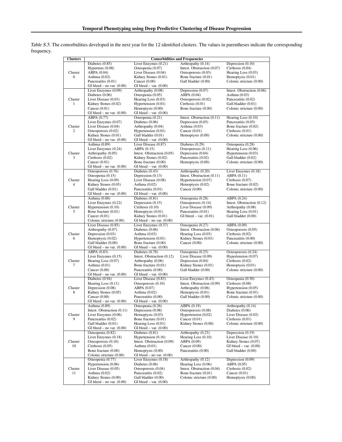|                  | <b>Comorbidities and Frequencies</b> |                              |                            |                            |  |  |  |
|------------------|--------------------------------------|------------------------------|----------------------------|----------------------------|--|--|--|
| <b>Clusters</b>  |                                      |                              |                            |                            |  |  |  |
|                  | Diabetes $(0.85)$                    | Liver Enzymes (0.21)         | Arthropathy (0.14)         | Depression $(0.10)$        |  |  |  |
|                  | Hypertens $(0.08)$                   | Osteopenia (0.07)            | Intest. Obstruction (0.07) | Cirrhosis (0.04)           |  |  |  |
| Cluster          | ABPA (0.04)                          | Liver Disease (0.04)         | Osteoporosis (0.03)        | Hearing Loss $(0.03)$      |  |  |  |
| $\boldsymbol{0}$ | Asthma $(0.02)$                      | Kidney Stones (0.01)         | Bone fracture (0.01)       | Hemoptysis (0.01)          |  |  |  |
|                  | Pancreatitis (0.01)                  | Cancer $(0.00)$              | Gall bladder (0.00)        | Colonic stricture (0.00)   |  |  |  |
|                  |                                      |                              |                            |                            |  |  |  |
|                  | GI bleed – no var. $(0.00)$          | $GI$ bleed $-$ var. $(0.00)$ |                            |                            |  |  |  |
|                  | Liver Enzymes (0.09)                 | Arthropathy (0.08)           | Depression (0.07)          | Intest. Obstruction (0.06) |  |  |  |
|                  | Diabetes (0.06)                      | Osteopenia (0.05)            | ABPA (0.04)                | Asthma $(0.03)$            |  |  |  |
| Cluster          | Liver Disease (0.03)                 | Hearing Loss (0.03)          | Osteoporosis (0.02)        | Pancreatitis (0.02)        |  |  |  |
| $\mathbf{1}$     | Kidney Stones (0.02)                 | Hypertension (0.01)          | Cirrhosis (0.01)           | Gall bladder (0.01)        |  |  |  |
|                  | Cancer $(0.01)$                      | Hemoptysis (0.00)            | Bone fracture (0.00)       | Colonic stricture (0.00)   |  |  |  |
|                  | GI bleed $-$ no var. $(0.00)$        | GI bleed $-$ var. $(0.00)$   |                            |                            |  |  |  |
|                  |                                      |                              |                            |                            |  |  |  |
|                  | ABPA(0.77)                           | Osteopenia (0.21)            | Intest. Obstruction (0.11) | Hearing Loss (0.10)        |  |  |  |
|                  | Liver Enzymes (0.07)                 | Diabetes $(0.06)$            | Depression (0.05)          | Pancreatitis (0.05)        |  |  |  |
| Cluster          | Liver Disease (0.04)                 | Arthropathy (0.04)           | Asthma $(0.03)$            | Bone fracture (0.02)       |  |  |  |
| $\overline{c}$   | Osteoporosis (0.02)                  | Hypertension (0.01)          | Cancer $(0.01)$            | Cirrhosis (0.01)           |  |  |  |
|                  | Kidney Stones (0.01)                 | Gall bladder (0.01)          | Hemoptysis (0.00)          | Colonic stricture (0.00)   |  |  |  |
|                  | GI bleed - no var. $(0.00)$          | GI bleed $-$ var. $(0.00)$   |                            |                            |  |  |  |
|                  | Asthma (0.89)                        | Liver Disease (0.87)         | Diabetes (0.29)            | Osteopenia (0.28)          |  |  |  |
|                  | Liver Enzymes (0.24)                 | ABPA (0.15)                  | Osteoporosis (0.11)        | Hearing Loss (0.06)        |  |  |  |
|                  |                                      |                              |                            |                            |  |  |  |
| Cluster          | Arthropathy (0.05)                   | Intest. Obstruction (0.05)   | Depression (0.04)          | Hypertension (0.03)        |  |  |  |
| 3                | Cirrhosis (0.02)                     | Kidney Stones (0.02)         | Pancreatitis (0.02)        | Gall bladder (0.02)        |  |  |  |
|                  | Cancer $(0.01)$                      | Bone fracture (0.00)         | Hemoptysis (0.00)          | Colonic stricture (0.00)   |  |  |  |
|                  | $GI$ bleed – no var. $(0.00)$        | GI bleed $-$ var. $(0.00)$   |                            |                            |  |  |  |
|                  | Osteoporosis (0.76)                  | Diabetes (0.43)              | Arthropathy (0.20)         | Liver Enzymes (0.18)       |  |  |  |
|                  | Osteopenia (0.15)                    | Depression $(0.13)$          | Intest. Obstruction (0.11) | ABPA (0.11)                |  |  |  |
|                  |                                      |                              |                            |                            |  |  |  |
| Cluster          | Hearing Loss (0.09)                  | Liver Disease (0.08)         | Hypertension (0.07)        | Cirrhosis (0.07)           |  |  |  |
| $\overline{4}$   | Kidney Stones (0.03)                 | Asthma $(0.02)$              | Hemoptysis (0.02)          | Bone fracture (0.02)       |  |  |  |
|                  | Gall bladder (0.01)                  | Pancreatitis (0.01)          | Cancer $(0.00)$            | Colonic stricture (0.00)   |  |  |  |
|                  | GI bleed – no var. $(0.00)$          | GI bleed $-$ var. $(0.00)$   |                            |                            |  |  |  |
|                  | Asthma (0.88)                        | Diabetes $(0.81)$            | Osteopenia (0.28)          | $ABPA$ $(0.24)$            |  |  |  |
|                  | Liver Enzymes (0.22)                 | Depression (0.15)            | Osteoporosis (0.14)        | Intest. Obstruction (0.12) |  |  |  |
|                  |                                      |                              | Liver Disease (0.09)       |                            |  |  |  |
| Cluster          | Hypertension (0.10)                  | Cirrhosis (0.10)             |                            | Arthropathy (0.08)         |  |  |  |
| 5                | Bone fracture (0.01)                 | Hemoptysis (0.01)            | Pancreatitis (0.01)        | Hearing Loss (0.01)        |  |  |  |
|                  | Cancer $(0.01)$                      | Kidney Stones (0.01)         | GI bleed $-$ var. $(0.01)$ | Gall bladder (0.00)        |  |  |  |
|                  | Colonic stricture (0.00)             | GI bleed – no var. $(0.00)$  |                            |                            |  |  |  |
|                  | Liver Disease (0.85)                 | Liver Enzymes (0.37)         | Osteopenia (0.27)          | ABPA (0.09)                |  |  |  |
|                  | Arthropathy (0.07)                   | Diabetes $(0.06)$            | Intest. Obstruction (0.06) | Osteoporosis (0.05)        |  |  |  |
| Cluster          | Depression (0.03)                    | Asthma $(0.03)$              | Hearing Loss (0.03)        | Cirrhosis $(0.02)$         |  |  |  |
| 6                |                                      |                              |                            | Pancreatitis (0.00)        |  |  |  |
|                  | Hemoptysis (0.02)                    | Hypertension (0.01)          | Kidney Stones (0.01)       |                            |  |  |  |
|                  | Gall bladder (0.00)                  | Bone fracture (0.00)         | Cancer $(0.00)$            | Colonic stricture (0.00)   |  |  |  |
|                  | GI bleed – no var. $(0.00)$          | GI bleed $-$ var. $(0.00)$   |                            |                            |  |  |  |
|                  | ABPA (0.83)                          | Diabetes $(0.78)$            | Osteopenia (0.25)          | Osteoporosis (0.24)        |  |  |  |
|                  | Liver Enzymes $(0.15)$               | Intest. Obstruction (0.12)   | Liver Disease (0.09)       | Hypertension (0.07)        |  |  |  |
| Cluster          | Hearing Loss (0.07)                  | Arthropathy (0.06)           | Depression (0.04)          | Cirrhosis (0.02)           |  |  |  |
| 7                | Asthma $(0.01)$                      | Bone fracture (0.01)         | Kidney Stones (0.01)       | Hemoptysis (0.01)          |  |  |  |
|                  |                                      |                              |                            |                            |  |  |  |
|                  | Cancer $(0.00)$                      | Pancreatitis (0.00)          | Gall bladder (0.00)        | Colonic stricture (0.00)   |  |  |  |
|                  | GI bleed $-$ no var. $(0.00)$        | GI bleed $-$ var. $(0.00)$   |                            |                            |  |  |  |
|                  | Diabetes (0.94)                      | Liver Disease (0.83)         | Liver Enzymes (0.43)       | Osteopenia (0.30)          |  |  |  |
|                  | Hearing Loss (0.11)                  | Osteoporosis (0.10)          | Intest. Obstruction (0.09) | Cirrhosis (0.08)           |  |  |  |
| Cluster          | Depression (0.08)                    | ABPA (0.07)                  | Arthropathy (0.06)         | Hypertension (0.05)        |  |  |  |
| 8                | Kidney Stones (0.05)                 | Asthma $(0.02)$              | Hemoptysis (0.01)          | Bone fracture (0.01)       |  |  |  |
|                  | Cancer $(0.00)$                      | Pancreatitis (0.00)          | Gall bladder (0.00)        | Colonic stricture (0.00)   |  |  |  |
|                  | GI bleed – no var. $(0.00)$          | GI bleed $-$ var. $(0.00)$   |                            |                            |  |  |  |
|                  |                                      |                              |                            |                            |  |  |  |
|                  | Asthma (0.89)                        | Osteopenia (0.26)            | ABPA (0.19)                | Arthropathy (0.14)         |  |  |  |
|                  | Intest. Obstruction (0.11)           | Depression (0.08)            | Osteoporosis (0.08)        | Diabetes $(0.06)$          |  |  |  |
| Cluster          | Liver Enzymes (0.06)                 | Hemoptysis (0.03)            | Hypertension (0.02)        | Liver Disease (0.02)       |  |  |  |
| 9                | Pancreatitis (0.02)                  | Bone fracture (0.01)         | Cancer $(0.01)$            | Cirrhosis (0.01)           |  |  |  |
|                  | Gall bladder (0.01)                  | Hearing Loss (0.01)          | Kidney Stones (0.00)       | Colonic stricture (0.00)   |  |  |  |
|                  | GI bleed – no var. $(0.00)$          | GI bleed $-$ var. $(0.00)$   |                            |                            |  |  |  |
|                  | Osteopenia (0.82)                    | Diabetes $(0.81)$            | Arthropathy (0.23)         | Depression $(0.19)$        |  |  |  |
|                  | Liver Enzymes (0.18)                 |                              |                            | Liver Disease (0.10)       |  |  |  |
|                  |                                      | Hypertension $(0.16)$        | Hearing Loss $(0.10)$      |                            |  |  |  |
| Cluster<br>10    | Osteoporosis (0.10)                  | Intest. Obstruction (0.09)   | ABPA (0.09)                | Kidney Stones (0.07)       |  |  |  |
|                  | Cirrhosis (0.05)                     | Asthma $(0.01)$              | Cancer $(0.00)$            | GI bleed $-$ var. $(0.00)$ |  |  |  |
|                  | Bone fracture (0.00)                 | Hemoptysis (0.00)            | Pancreatitis (0.00)        | Gall bladder (0.00)        |  |  |  |
|                  | Colonic stricture (0.00)             | GI bleed – no var. $(0.00)$  |                            |                            |  |  |  |
|                  | Osteopenia (0.77)                    | Liver Enzymes (0.18)         | Arthropathy (0.12)         | Depression $(0.09)$        |  |  |  |
|                  |                                      | Diabetes $(0.06)$            | Hearing Loss (0.06)        |                            |  |  |  |
|                  | Hypertension (0.06)                  |                              |                            | ABPA (0.05)                |  |  |  |
| Cluster          | Liver Disease (0.05)                 | Osteoporosis (0.04)          | Intest. Obstruction (0.04) | Cirrhosis (0.02)           |  |  |  |
| 11               | Asthma $(0.02)$                      | Pancreatitis (0.02)          | Bone fracture (0.01)       | Cancer $(0.01)$            |  |  |  |
|                  | Kidney Stones (0.00)                 | Gall bladder (0.00)          | Colonic stricture (0.00)   | Hemoptysis (0.00)          |  |  |  |
|                  | GI bleed $-$ no var. $(0.00)$        | GI bleed $-$ var. $(0.00)$   |                            |                            |  |  |  |

<span id="page-6-0"></span>Table S.5. The comorbidities developed in the next year for the 12 identified clusters. The values in parentheses indicate the corresponding frequency.